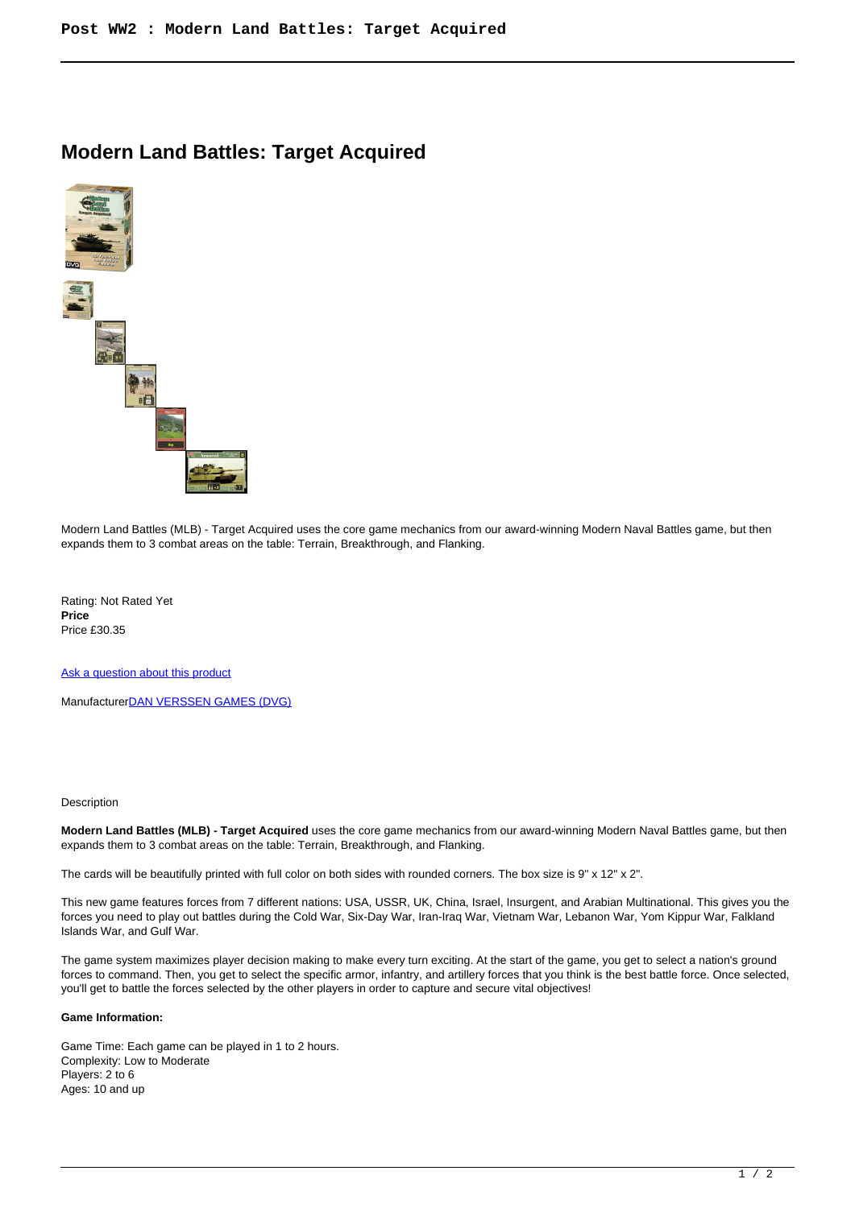## **Modern Land Battles: Target Acquired**



Modern Land Battles (MLB) - Target Acquired uses the core game mechanics from our award-winning Modern Naval Battles game, but then expands them to 3 combat areas on the table: Terrain, Breakthrough, and Flanking.

Rating: Not Rated Yet **Price**  Price £30.35

[Ask a question about this product](https://www.secondchancegames.com/index.php?option=com_virtuemart&view=productdetails&task=askquestion&virtuemart_product_id=10059&virtuemart_category_id=12&tmpl=component)

Manufacturer[DAN VERSSEN GAMES \(DVG\)](https://www.secondchancegames.com/index.php?option=com_virtuemart&view=manufacturer&virtuemart_manufacturer_id=2626&tmpl=component)

## Description

**Modern Land Battles (MLB) - Target Acquired** uses the core game mechanics from our award-winning Modern Naval Battles game, but then expands them to 3 combat areas on the table: Terrain, Breakthrough, and Flanking.

The cards will be beautifully printed with full color on both sides with rounded corners. The box size is 9" x 12" x 2".

This new game features forces from 7 different nations: USA, USSR, UK, China, Israel, Insurgent, and Arabian Multinational. This gives you the forces you need to play out battles during the Cold War, Six-Day War, Iran-Iraq War, Vietnam War, Lebanon War, Yom Kippur War, Falkland Islands War, and Gulf War.

The game system maximizes player decision making to make every turn exciting. At the start of the game, you get to select a nation's ground forces to command. Then, you get to select the specific armor, infantry, and artillery forces that you think is the best battle force. Once selected, you'll get to battle the forces selected by the other players in order to capture and secure vital objectives!

## **Game Information:**

Game Time: Each game can be played in 1 to 2 hours. Complexity: Low to Moderate Players: 2 to 6 Ages: 10 and up